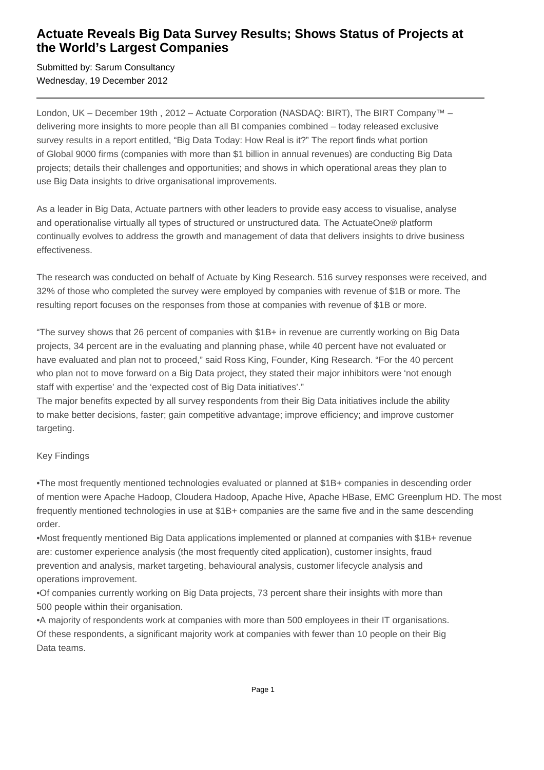## **Actuate Reveals Big Data Survey Results; Shows Status of Projects at the World's Largest Companies**

Submitted by: Sarum Consultancy Wednesday, 19 December 2012

London, UK – December 19th, 2012 – Actuate Corporation (NASDAQ: BIRT), The BIRT Company<sup>™</sup> – delivering more insights to more people than all BI companies combined – today released exclusive survey results in a report entitled, "Big Data Today: How Real is it?" The report finds what portion of Global 9000 firms (companies with more than \$1 billion in annual revenues) are conducting Big Data projects; details their challenges and opportunities; and shows in which operational areas they plan to use Big Data insights to drive organisational improvements.

As a leader in Big Data, Actuate partners with other leaders to provide easy access to visualise, analyse and operationalise virtually all types of structured or unstructured data. The ActuateOne® platform continually evolves to address the growth and management of data that delivers insights to drive business effectiveness.

The research was conducted on behalf of Actuate by King Research. 516 survey responses were received, and 32% of those who completed the survey were employed by companies with revenue of \$1B or more. The resulting report focuses on the responses from those at companies with revenue of \$1B or more.

"The survey shows that 26 percent of companies with \$1B+ in revenue are currently working on Big Data projects, 34 percent are in the evaluating and planning phase, while 40 percent have not evaluated or have evaluated and plan not to proceed," said Ross King, Founder, King Research. "For the 40 percent who plan not to move forward on a Big Data project, they stated their major inhibitors were 'not enough staff with expertise' and the 'expected cost of Big Data initiatives'."

The major benefits expected by all survey respondents from their Big Data initiatives include the ability to make better decisions, faster; gain competitive advantage; improve efficiency; and improve customer targeting.

### Key Findings

• The most frequently mentioned technologies evaluated or planned at \$1B+ companies in descending order of mention were Apache Hadoop, Cloudera Hadoop, Apache Hive, Apache HBase, EMC Greenplum HD. The most frequently mentioned technologies in use at \$1B+ companies are the same five and in the same descending order.

• Most frequently mentioned Big Data applications implemented or planned at companies with \$1B+ revenue are: customer experience analysis (the most frequently cited application), customer insights, fraud prevention and analysis, market targeting, behavioural analysis, customer lifecycle analysis and operations improvement.

• Of companies currently working on Big Data projects, 73 percent share their insights with more than 500 people within their organisation.

• A majority of respondents work at companies with more than 500 employees in their IT organisations. Of these respondents, a significant majority work at companies with fewer than 10 people on their Big Data teams.